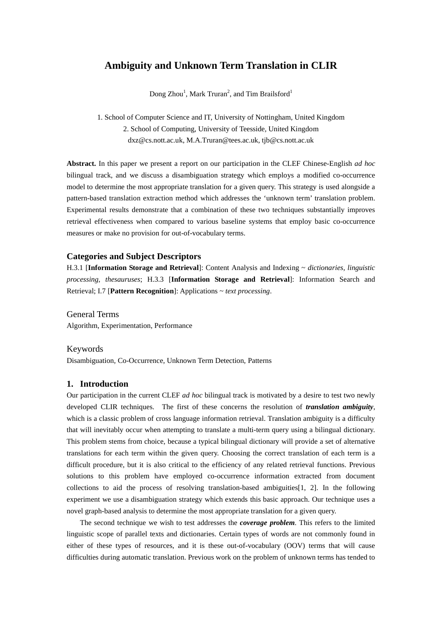# **Ambiguity and Unknown Term Translation in CLIR**

Dong Zhou<sup>1</sup>, Mark Truran<sup>2</sup>, and Tim Brailsford<sup>1</sup>

1. School of Computer Science and IT, University of Nottingham, United Kingdom 2. School of Computing, University of Teesside, United Kingdom dxz@cs.nott.ac.uk, M.A.Truran@tees.ac.uk, tjb@cs.nott.ac.uk

**Abstract.** In this paper we present a report on our participation in the CLEF Chinese-English *ad hoc* bilingual track, and we discuss a disambiguation strategy which employs a modified co-occurrence model to determine the most appropriate translation for a given query. This strategy is used alongside a pattern-based translation extraction method which addresses the 'unknown term' translation problem. Experimental results demonstrate that a combination of these two techniques substantially improves retrieval effectiveness when compared to various baseline systems that employ basic co-occurrence measures or make no provision for out-of-vocabulary terms.

# **Categories and Subject Descriptors**

H.3.1 [**Information Storage and Retrieval**]: Content Analysis and Indexing ~ *dictionaries, linguistic processing, thesauruses*; H.3.3 [**Information Storage and Retrieval**]: Information Search and Retrieval; I.7 [**Pattern Recognition**]: Applications ~ *text processing*.

General Terms Algorithm, Experimentation, Performance

#### Keywords

Disambiguation, Co-Occurrence, Unknown Term Detection, Patterns

#### **1. Introduction**

Our participation in the current CLEF *ad hoc* bilingual track is motivated by a desire to test two newly developed CLIR techniques. The first of these concerns the resolution of *translation ambiguity*, which is a classic problem of cross language information retrieval. Translation ambiguity is a difficulty that will inevitably occur when attempting to translate a multi-term query using a bilingual dictionary. This problem stems from choice, because a typical bilingual dictionary will provide a set of alternative translations for each term within the given query. Choosing the correct translation of each term is a difficult procedure, but it is also critical to the efficiency of any related retrieval functions. Previous solutions to this problem have employed co-occurrence information extracted from document collections to aid the process of resolving translation-based ambiguities[1, 2]. In the following experiment we use a disambiguation strategy which extends this basic approach. Our technique uses a novel graph-based analysis to determine the most appropriate translation for a given query.

The second technique we wish to test addresses the *coverage problem.* This refers to the limited linguistic scope of parallel texts and dictionaries. Certain types of words are not commonly found in either of these types of resources, and it is these out-of-vocabulary (OOV) terms that will cause difficulties during automatic translation. Previous work on the problem of unknown terms has tended to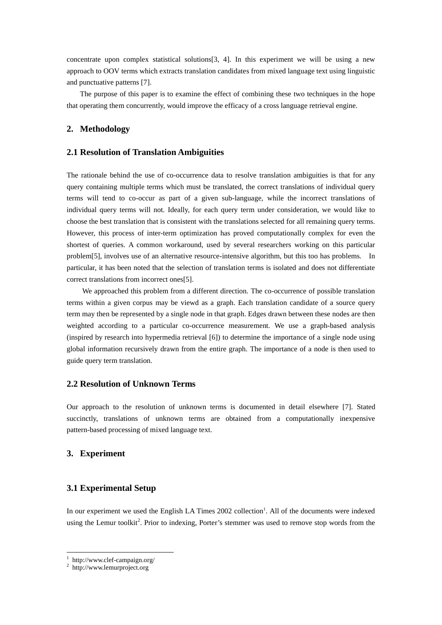concentrate upon complex statistical solutions[3, 4]. In this experiment we will be using a new approach to OOV terms which extracts translation candidates from mixed language text using linguistic and punctuative patterns [7].

The purpose of this paper is to examine the effect of combining these two techniques in the hope that operating them concurrently, would improve the efficacy of a cross language retrieval engine.

### **2. Methodology**

# **2.1 Resolution of Translation Ambiguities**

The rationale behind the use of co-occurrence data to resolve translation ambiguities is that for any query containing multiple terms which must be translated, the correct translations of individual query terms will tend to co-occur as part of a given sub-language, while the incorrect translations of individual query terms will not. Ideally, for each query term under consideration, we would like to choose the best translation that is consistent with the translations selected for all remaining query terms. However, this process of inter-term optimization has proved computationally complex for even the shortest of queries. A common workaround, used by several researchers working on this particular problem[5], involves use of an alternative resource-intensive algorithm, but this too has problems. In particular, it has been noted that the selection of translation terms is isolated and does not differentiate correct translations from incorrect ones[5].

We approached this problem from a different direction. The co-occurrence of possible translation terms within a given corpus may be viewd as a graph. Each translation candidate of a source query term may then be represented by a single node in that graph. Edges drawn between these nodes are then weighted according to a particular co-occurrence measurement. We use a graph-based analysis (inspired by research into hypermedia retrieval [6]) to determine the importance of a single node using global information recursively drawn from the entire graph. The importance of a node is then used to guide query term translation.

## **2.2 Resolution of Unknown Terms**

Our approach to the resolution of unknown terms is documented in detail elsewhere [7]. Stated succinctly, translations of unknown terms are obtained from a computationally inexpensive pattern-based processing of mixed language text.

## **3. Experiment**

#### **3.1 Experimental Setup**

In our experiment we used the English LA Times 2002 collection<sup>1</sup>. All of the documents were indexed using the Lemur toolkit<sup>2</sup>. Prior to indexing, Porter's stemmer was used to remove stop words from the

 $\overline{a}$ 

<sup>&</sup>lt;sup>1</sup> http://www.clef-campaign.org/<br><sup>2</sup> http://www.lemurproject.org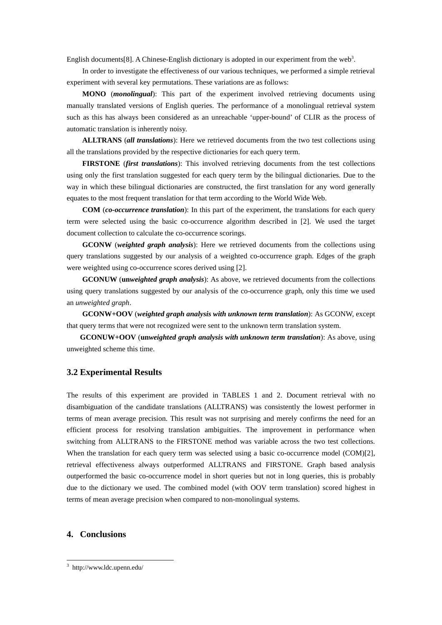English documents[8]. A Chinese-English dictionary is adopted in our experiment from the web<sup>3</sup>.

In order to investigate the effectiveness of our various techniques, we performed a simple retrieval experiment with several key permutations. These variations are as follows:

**MONO** (*monolingual*): This part of the experiment involved retrieving documents using manually translated versions of English queries. The performance of a monolingual retrieval system such as this has always been considered as an unreachable 'upper-bound' of CLIR as the process of automatic translation is inherently noisy.

**ALLTRANS** (*all translations*): Here we retrieved documents from the two test collections using all the translations provided by the respective dictionaries for each query term.

**FIRSTONE** (*first translations*): This involved retrieving documents from the test collections using only the first translation suggested for each query term by the bilingual dictionaries. Due to the way in which these bilingual dictionaries are constructed, the first translation for any word generally equates to the most frequent translation for that term according to the World Wide Web.

**COM** (*co-occurrence translation*): In this part of the experiment, the translations for each query term were selected using the basic co-occurrence algorithm described in [2]. We used the target document collection to calculate the co-occurrence scorings.

**GCONW** (*weighted graph analysis*): Here we retrieved documents from the collections using query translations suggested by our analysis of a weighted co-occurrence graph. Edges of the graph were weighted using co-occurrence scores derived using [2].

**GCONUW** (**un***weighted graph analysis*): As above, we retrieved documents from the collections using query translations suggested by our analysis of the co-occurrence graph, only this time we used an *unweighted graph*.

**GCONW+OOV** (*weighted graph analysis with unknown term translation*): As GCONW, except that query terms that were not recognized were sent to the unknown term translation system.

**GCONUW+OOV** (**un***weighted graph analysis with unknown term translation*): As above, using unweighted scheme this time.

#### **3.2 Experimental Results**

The results of this experiment are provided in TABLES 1 and 2. Document retrieval with no disambiguation of the candidate translations (ALLTRANS) was consistently the lowest performer in terms of mean average precision. This result was not surprising and merely confirms the need for an efficient process for resolving translation ambiguities. The improvement in performance when switching from ALLTRANS to the FIRSTONE method was variable across the two test collections. When the translation for each query term was selected using a basic co-occurrence model (COM)[2], retrieval effectiveness always outperformed ALLTRANS and FIRSTONE. Graph based analysis outperformed the basic co-occurrence model in short queries but not in long queries, this is probably due to the dictionary we used. The combined model (with OOV term translation) scored highest in terms of mean average precision when compared to non-monolingual systems.

## **4. Conclusions**

 $\overline{a}$ 

<sup>3</sup> http://www.ldc.upenn.edu/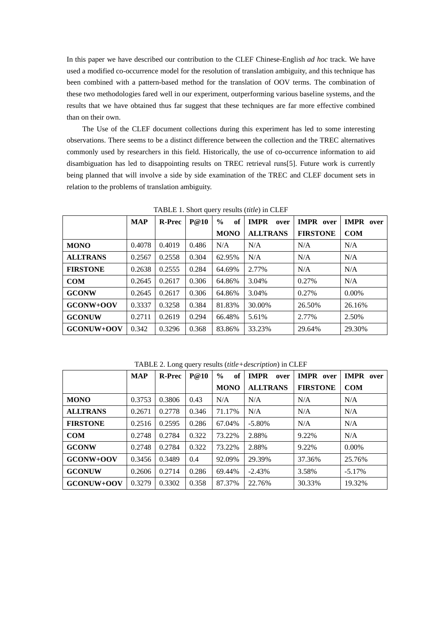In this paper we have described our contribution to the CLEF Chinese-English *ad hoc* track. We have used a modified co-occurrence model for the resolution of translation ambiguity, and this technique has been combined with a pattern-based method for the translation of OOV terms. The combination of these two methodologies fared well in our experiment, outperforming various baseline systems, and the results that we have obtained thus far suggest that these techniques are far more effective combined than on their own.

The Use of the CLEF document collections during this experiment has led to some interesting observations. There seems to be a distinct difference between the collection and the TREC alternatives commonly used by researchers in this field. Historically, the use of co-occurrence information to aid disambiguation has led to disappointing results on TREC retrieval runs[5]. Future work is currently being planned that will involve a side by side examination of the TREC and CLEF document sets in relation to the problems of translation ambiguity.

|                 | <b>MAP</b> | <b>R-Prec</b> | P@10  | $\frac{0}{0}$<br>of | <b>IMPR</b><br>over | <b>IMPR</b> over | <b>IMPR</b><br>over |
|-----------------|------------|---------------|-------|---------------------|---------------------|------------------|---------------------|
|                 |            |               |       | <b>MONO</b>         | <b>ALLTRANS</b>     | <b>FIRSTONE</b>  | <b>COM</b>          |
| <b>MONO</b>     | 0.4078     | 0.4019        | 0.486 | N/A                 | N/A                 | N/A              | N/A                 |
| <b>ALLTRANS</b> | 0.2567     | 0.2558        | 0.304 | 62.95%              | N/A                 | N/A              | N/A                 |
| <b>FIRSTONE</b> | 0.2638     | 0.2555        | 0.284 | 64.69%              | 2.77%               | N/A              | N/A                 |
| <b>COM</b>      | 0.2645     | 0.2617        | 0.306 | 64.86%              | 3.04%               | 0.27%            | N/A                 |
| <b>GCONW</b>    | 0.2645     | 0.2617        | 0.306 | 64.86%              | 3.04%               | 0.27%            | $0.00\%$            |
| GCONW+OOV       | 0.3337     | 0.3258        | 0.384 | 81.83%              | 30.00%              | 26.50%           | 26.16%              |
| <b>GCONUW</b>   | 0.2711     | 0.2619        | 0.294 | 66.48%              | 5.61%               | 2.77%            | 2.50%               |
| GCONUW+OOV      | 0.342      | 0.3296        | 0.368 | 83.86%              | 33.23%              | 29.64%           | 29.30%              |

TABLE 1. Short query results (*title*) in CLEF

TABLE 2. Long query results (*title+description*) in CLEF

|                 | <b>MAP</b> | <b>R-Prec</b> | P@10  | of<br>$\frac{0}{0}$ | <b>IMPR</b><br>over | <b>IMPR</b> over | <b>IMPR</b><br>over |
|-----------------|------------|---------------|-------|---------------------|---------------------|------------------|---------------------|
|                 |            |               |       | <b>MONO</b>         | <b>ALLTRANS</b>     | <b>FIRSTONE</b>  | <b>COM</b>          |
| <b>MONO</b>     | 0.3753     | 0.3806        | 0.43  | N/A                 | N/A                 | N/A              | N/A                 |
| <b>ALLTRANS</b> | 0.2671     | 0.2778        | 0.346 | 71.17%              | N/A                 | N/A              | N/A                 |
| <b>FIRSTONE</b> | 0.2516     | 0.2595        | 0.286 | 67.04%              | $-5.80\%$           | N/A              | N/A                 |
| <b>COM</b>      | 0.2748     | 0.2784        | 0.322 | 73.22%              | 2.88%               | 9.22%            | N/A                 |
| <b>GCONW</b>    | 0.2748     | 0.2784        | 0.322 | 73.22%              | 2.88%               | 9.22%            | $0.00\%$            |
| GCONW+OOV       | 0.3456     | 0.3489        | 0.4   | 92.09%              | 29.39%              | 37.36%           | 25.76%              |
| <b>GCONUW</b>   | 0.2606     | 0.2714        | 0.286 | 69.44%              | $-2.43\%$           | 3.58%            | $-5.17%$            |
| GCONUW+OOV      | 0.3279     | 0.3302        | 0.358 | 87.37%              | 22.76%              | 30.33%           | 19.32%              |